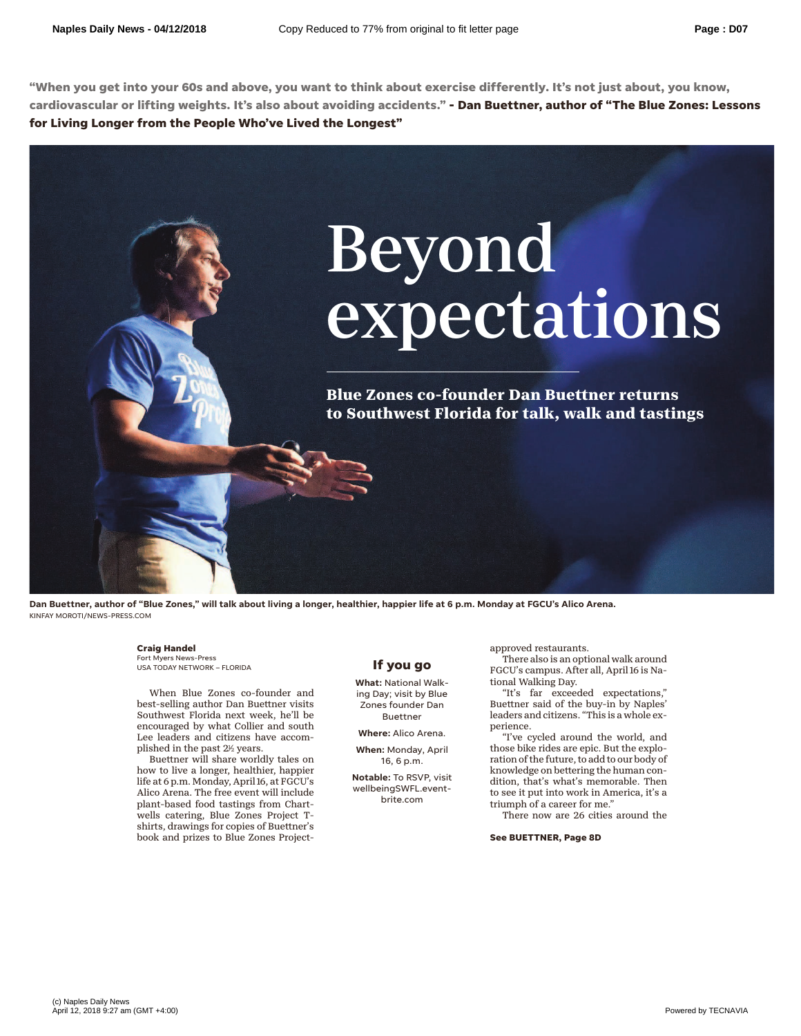**"When you get into your 60s and above, you want to think about exercise differently. It's not just about, you know, cardiovascular or lifting weights. It's also about avoiding accidents." - Dan Buettner, author of "The Blue Zones: Lessons for Living Longer from the People Who've Lived the Longest"**



**Dan Buettner, author of "Blue Zones," will talk about living a longer, healthier, happier life at 6 p.m. Monday at FGCU's Alico Arena.** KINFAY MOROTI/NEWS-PRESS.COM

### **Craig Handel**

Fort Myers News-Press USA TODAY NETWORK – FLORIDA

When Blue Zones co-founder and best-selling author Dan Buettner visits Southwest Florida next week, he'll be encouraged by what Collier and south Lee leaders and citizens have accomplished in the past  $2\nu$  years.

Buettner will share worldly tales on how to live a longer, healthier, happier life at 6 p.m. Monday, April 16, at FGCU's Alico Arena. The free event will include plant-based food tastings from Chartwells catering, Blue Zones Project Tshirts, drawings for copies of Buettner's book and prizes to Blue Zones Project-

## **If you go**

**What:** National Walking Day; visit by Blue Zones founder Dan Buettner

**Where:** Alico Arena.

**When:** Monday, April 16, 6 p.m.

**Notable:** To RSVP, visit wellbeingSWFL.eventbrite.com

approved restaurants.

There also is an optional walk around FGCU's campus. After all, April 16 is National Walking Day.

"It's far exceeded expectations," Buettner said of the buy-in by Naples' leaders and citizens. "This is a whole experience.

"I've cycled around the world, and those bike rides are epic. But the exploration of the future, to add to our body of knowledge on bettering the human condition, that's what's memorable. Then to see it put into work in America, it's a triumph of a career for me.'

There now are 26 cities around the

**See BUETTNER, Page 8D**